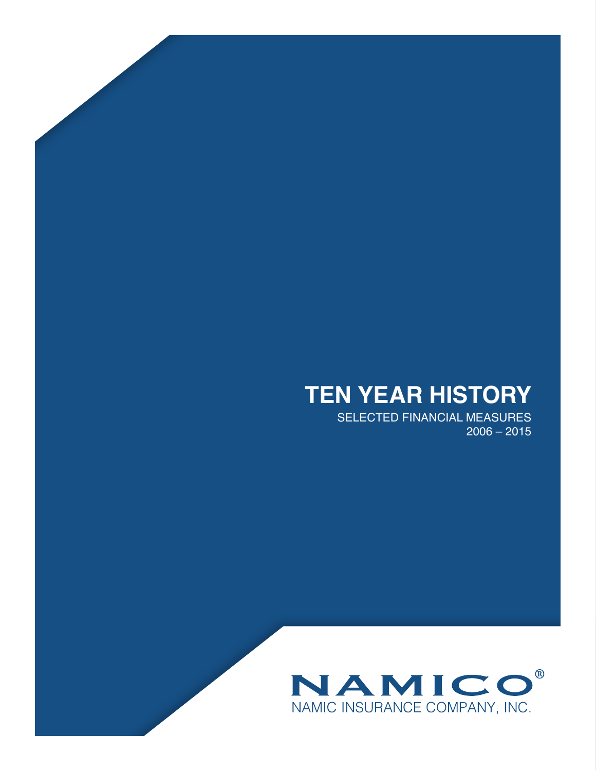# **TEN YEAR HISTORY**

SELECTED FINANCIAL MEASURES 2006 – 2015

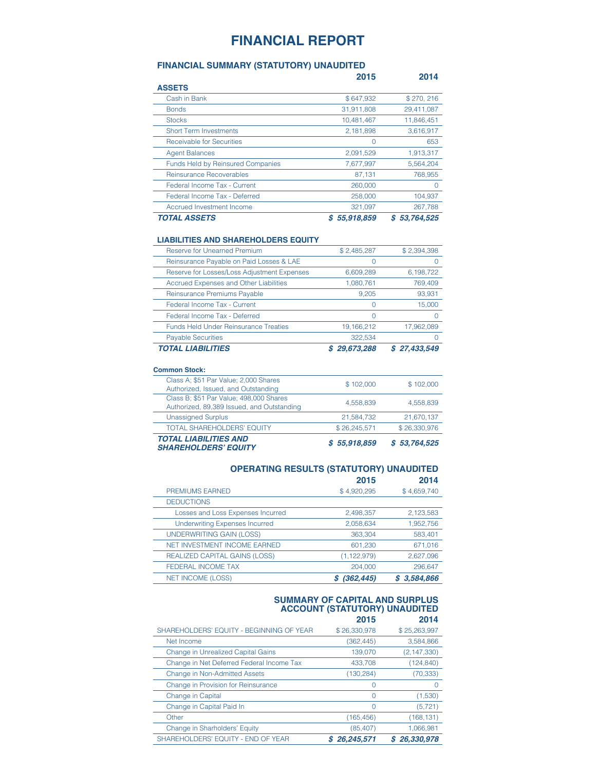# **FINANCIAL REPORT**

## **FINANCIAL SUMMARY (STATUTORY) UNAUDITED**

|                                          | 2015            | 2014            |
|------------------------------------------|-----------------|-----------------|
| <b>ASSETS</b>                            |                 |                 |
| Cash in Bank                             | \$647,932       | \$270,216       |
| <b>Bonds</b>                             | 31,911,808      | 29,411,087      |
| <b>Stocks</b>                            | 10.481.467      | 11,846,451      |
| <b>Short Term Investments</b>            | 2,181,898       | 3,616,917       |
| Receivable for Securities                |                 | 653             |
| <b>Agent Balances</b>                    | 2,091,529       | 1,913,317       |
| <b>Funds Held by Reinsured Companies</b> | 7,677,997       | 5,564,204       |
| Reinsurance Recoverables                 | 87,131          | 768,955         |
| Federal Income Tax - Current             | 260,000         | $\Omega$        |
| Federal Income Tax - Deferred            | 258,000         | 104,937         |
| Accrued Investment Income                | 321,097         | 267,788         |
| <b>TOTAL ASSETS</b>                      | 55,918,859<br>S | 53,764,525<br>S |

#### **LIABILITIES AND SHAREHOLDERS EQUITY**

| <b>Reserve for Unearned Premium</b>          | \$2,485,287  | \$2,394,398  |
|----------------------------------------------|--------------|--------------|
| Reinsurance Payable on Paid Losses & LAE     |              |              |
| Reserve for Losses/Loss Adjustment Expenses  | 6,609,289    | 6,198,722    |
| Accrued Expenses and Other Liabilities       | 1,080,761    | 769,409      |
| Reinsurance Premiums Payable                 | 9.205        | 93,931       |
| Federal Income Tax - Current                 |              | 15,000       |
| Federal Income Tax - Deferred                | Ω            |              |
| <b>Funds Held Under Reinsurance Treaties</b> | 19, 166, 212 | 17,962,089   |
| <b>Payable Securities</b>                    | 322.534      |              |
| TOTAL LIABILITIES                            | 29,673,288   | \$27,433,549 |

#### **Common Stock:**

| <b>TOTAL LIABILITIES AND</b><br><b>SHAREHOLDERS' EQUITY</b>                           | \$5,918,859  | \$53,764,525 |
|---------------------------------------------------------------------------------------|--------------|--------------|
| <b>TOTAL SHAREHOLDERS' EQUITY</b>                                                     | \$26,245,571 | \$26,330,976 |
| <b>Unassigned Surplus</b>                                                             | 21,584,732   | 21,670,137   |
| Class B; \$51 Par Value; 498,000 Shares<br>Authorized, 89,389 Issued, and Outstanding | 4.558.839    | 4.558.839    |
| Class A; \$51 Par Value; 2,000 Shares<br>Authorized, Issued, and Outstanding          | \$102,000    | \$102,000    |

### **OPERATING RESULTS (STATUTORY) UNAUDITED 2015 2014**

| PREMIUMS EARNED                       | \$4,920,295   | \$4,659,740 |
|---------------------------------------|---------------|-------------|
| <b>DEDUCTIONS</b>                     |               |             |
| Losses and Loss Expenses Incurred     | 2,498,357     | 2,123,583   |
| <b>Underwriting Expenses Incurred</b> | 2,058,634     | 1,952,756   |
| UNDERWRITING GAIN (LOSS)              | 363,304       | 583,401     |
| <b>NET INVESTMENT INCOME EARNED</b>   | 601,230       | 671,016     |
| <b>REALIZED CAPITAL GAINS (LOSS)</b>  | (1, 122, 979) | 2,627,096   |
| <b>FEDERAL INCOME TAX</b>             | 204.000       | 296,647     |
| <b>NET INCOME (LOSS)</b>              | (362, 445)    | \$3,584,866 |

#### **SUMMARY OF CAPITAL AND SURPLUS ACCOUNT (STATUTORY) UNAUDITED 2015 2014**

| SHAREHOLDERS' EQUITY - BEGINNING OF YEAR  | \$26,330,978 | \$25,263,997  |
|-------------------------------------------|--------------|---------------|
| Net Income                                | (362, 445)   | 3,584,866     |
| <b>Change in Unrealized Capital Gains</b> | 139,070      | (2, 147, 330) |
| Change in Net Deferred Federal Income Tax | 433.708      | (124, 840)    |
| <b>Change in Non-Admitted Assets</b>      | (130, 284)   | (70, 333)     |
| Change in Provision for Reinsurance       |              |               |
| Change in Capital                         | Ω            | (1,530)       |
| Change in Capital Paid In                 | 0            | (5, 721)      |
| Other                                     | (165, 456)   | (168, 131)    |
| Change in Sharholders' Equity             | (85, 407)    | 1.066.981     |
| SHAREHOLDERS' EQUITY - END OF YEAR        | 26,245,571   | \$26,330,978  |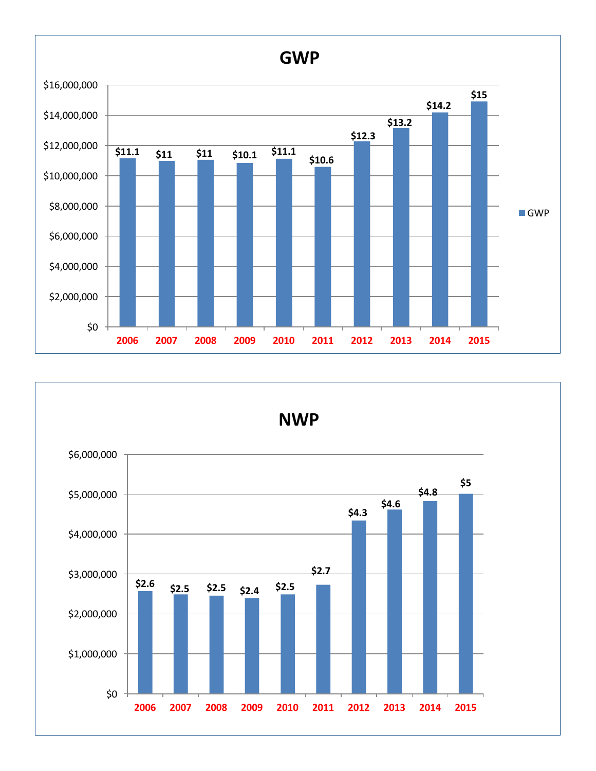

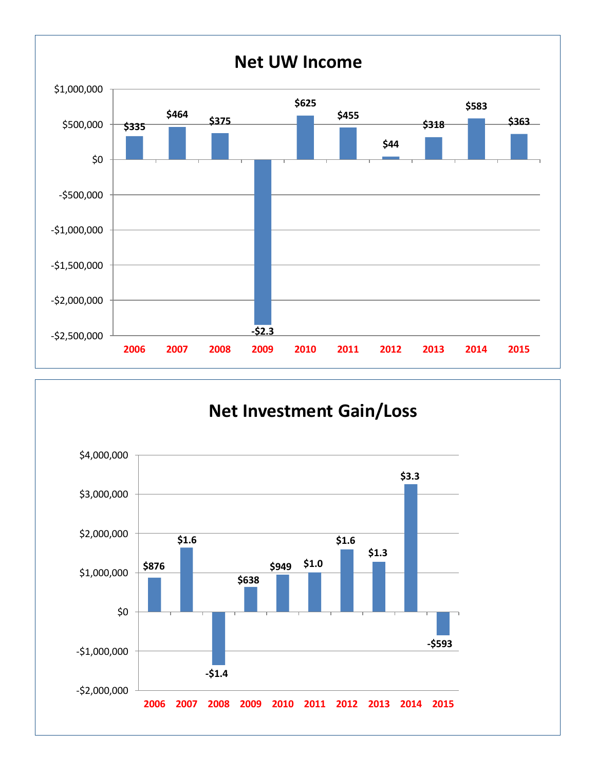

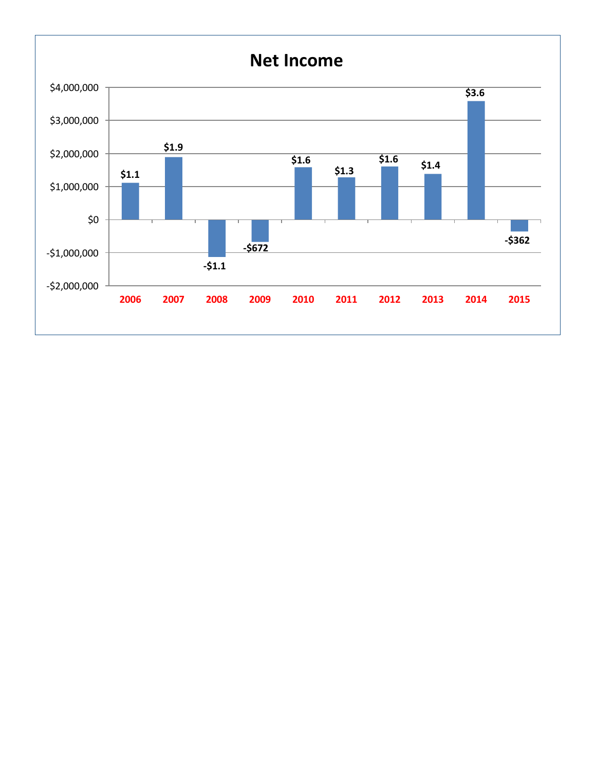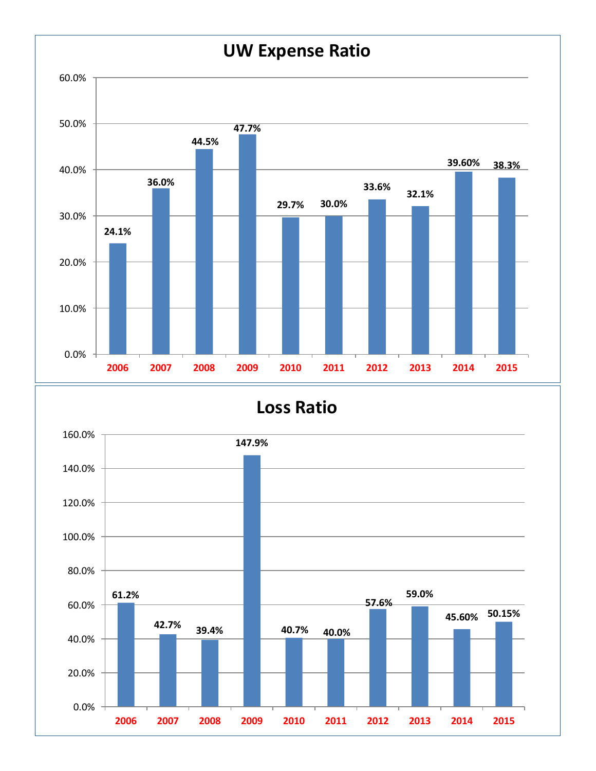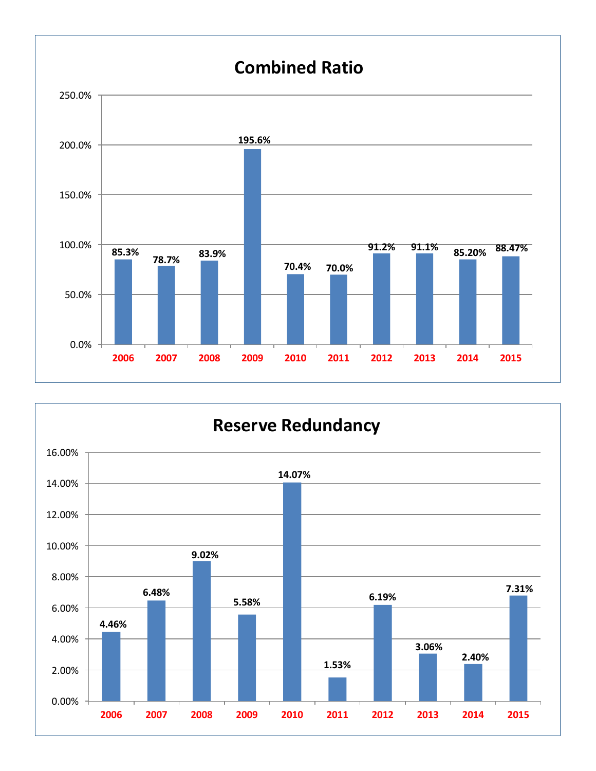

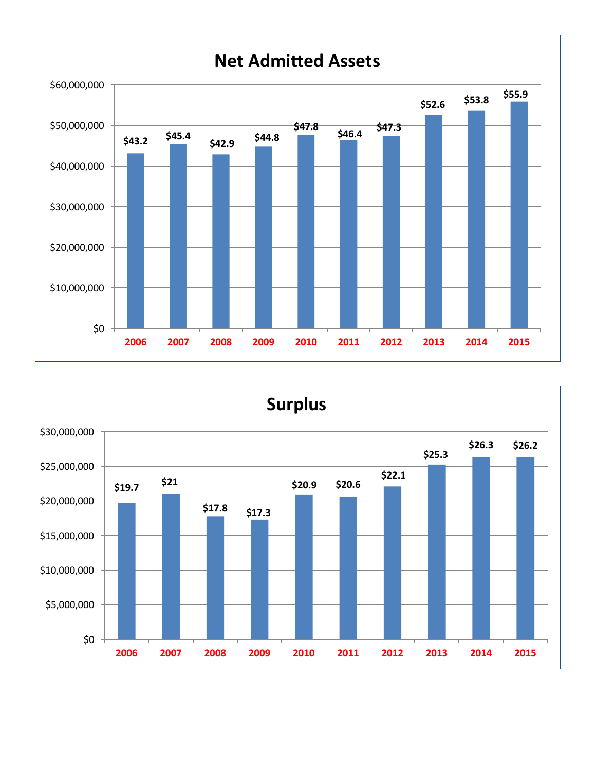